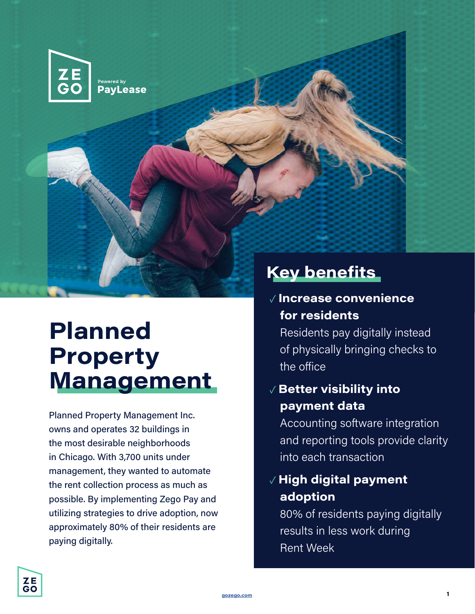

# **Planned Property Management**

Planned Property Management Inc. owns and operates 32 buildings in the most desirable neighborhoods in Chicago. With 3,700 units under management, they wanted to automate the rent collection process as much as possible. By implementing Zego Pay and utilizing strategies to drive adoption, now approximately 80% of their residents are paying digitally.

#### ✓ **Increase convenience for residents**

Residents pay digitally instead of physically bringing checks to the office

#### ✓ **Better visibility into payment data**

Accounting software integration and reporting tools provide clarity into each transaction

#### ✓ **High digital payment adoption**

80% of residents paying digitally results in less work during Rent Week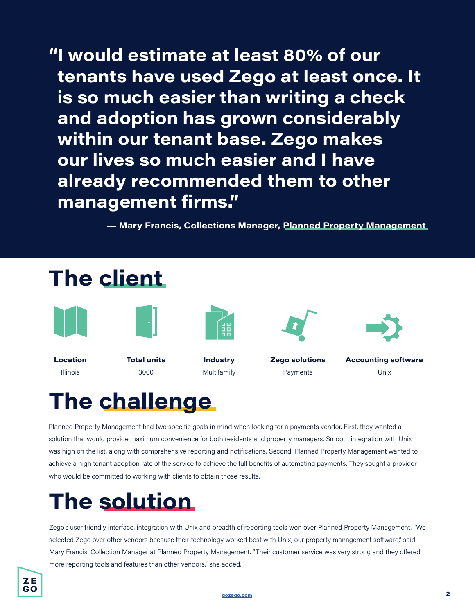**"I would estimate at least 80% of our tenants have used Zego at least once. It is so much easier than writing a check and adoption has grown considerably within our tenant base. Zego makes our lives so much easier and I have already recommended them to other management firms."**

**— Mary Francis, Collections Manager, Planned Property Management**



# **The challenge**

Planned Property Management had two specific goals in mind when looking for a payments vendor. First, they wanted a solution that would provide maximum convenience for both residents and property managers. Smooth integration with Unix was high on the list, along with comprehensive reporting and notifications. Second, Planned Property Management wanted to achieve a high tenant adoption rate of the service to achieve the full benefits of automating payments. They sought a provider who would be committed to working with clients to obtain those results.

### **The solution**

Zego's user friendly interface, integration with Unix and breadth of reporting tools won over Planned Property Management. "We selected Zego over other vendors because their technology worked best with Unix, our property management software," said Mary Francis, Collection Manager at Planned Property Management. "Their customer service was very strong and they offered more reporting tools and features than other vendors," she added.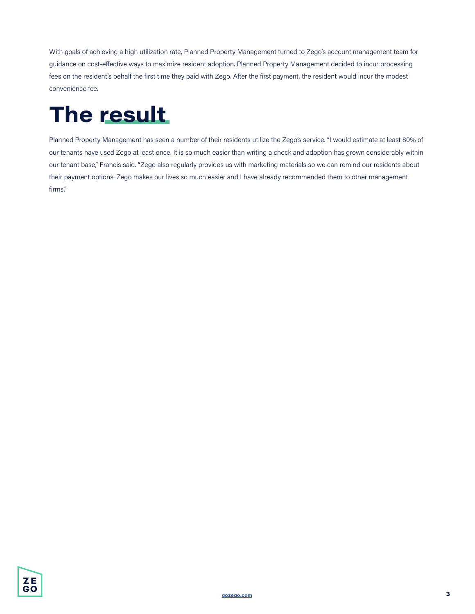With goals of achieving a high utilization rate, Planned Property Management turned to Zego's account management team for guidance on cost-effective ways to maximize resident adoption. Planned Property Management decided to incur processing fees on the resident's behalf the first time they paid with Zego. After the first payment, the resident would incur the modest convenience fee.

# **The result**

Planned Property Management has seen a number of their residents utilize the Zego's service. "I would estimate at least 80% of our tenants have used Zego at least once. It is so much easier than writing a check and adoption has grown considerably within our tenant base," Francis said. "Zego also regularly provides us with marketing materials so we can remind our residents about their payment options. Zego makes our lives so much easier and I have already recommended them to other management firms."